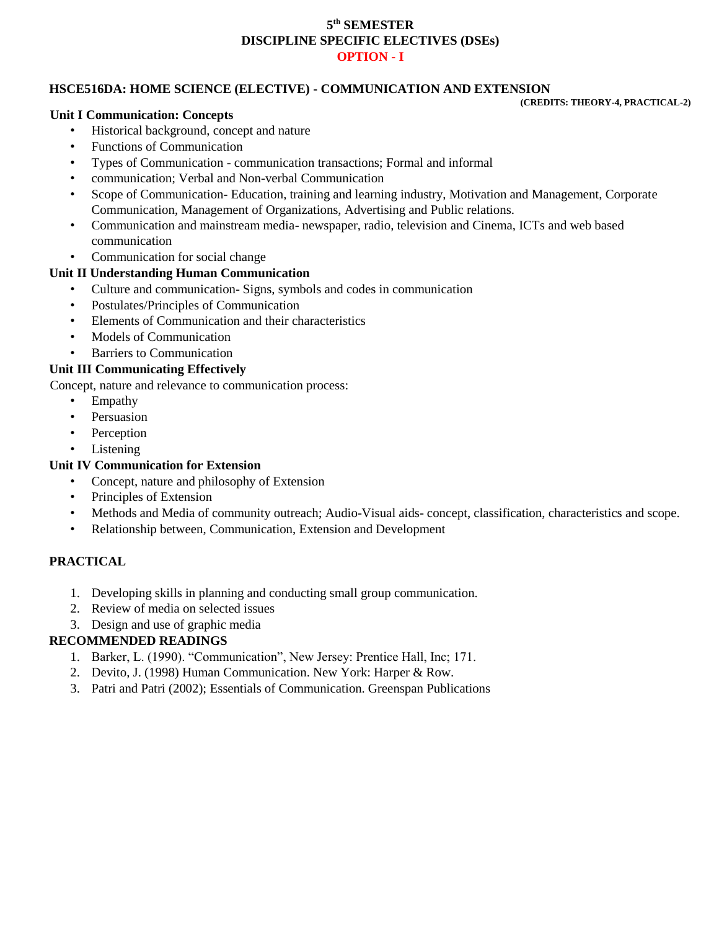## **5 th SEMESTER DISCIPLINE SPECIFIC ELECTIVES (DSEs) OPTION - I**

### **HSCE516DA: HOME SCIENCE (ELECTIVE) - COMMUNICATION AND EXTENSION**

**(CREDITS: THEORY-4, PRACTICAL-2)** 

#### **Unit I Communication: Concepts**

- Historical background, concept and nature
- Functions of Communication
- Types of Communication communication transactions; Formal and informal
- communication; Verbal and Non-verbal Communication
- Scope of Communication- Education, training and learning industry, Motivation and Management, Corporate Communication, Management of Organizations, Advertising and Public relations.
- Communication and mainstream media- newspaper, radio, television and Cinema, ICTs and web based communication
- Communication for social change

# **Unit II Understanding Human Communication**

- Culture and communication- Signs, symbols and codes in communication
- Postulates/Principles of Communication
- Elements of Communication and their characteristics
- Models of Communication
- Barriers to Communication

#### **Unit III Communicating Effectively**

Concept, nature and relevance to communication process:

- Empathy
- Persuasion
- Perception
- Listening

## **Unit IV Communication for Extension**

- Concept, nature and philosophy of Extension
- Principles of Extension
- Methods and Media of community outreach; Audio-Visual aids- concept, classification, characteristics and scope.
- Relationship between, Communication, Extension and Development

### **PRACTICAL**

- 1. Developing skills in planning and conducting small group communication.
- 2. Review of media on selected issues
- 3. Design and use of graphic media

## **RECOMMENDED READINGS**

- 1. Barker, L. (1990). "Communication", New Jersey: Prentice Hall, Inc; 171.
- 2. Devito, J. (1998) Human Communication. New York: Harper & Row.
- 3. Patri and Patri (2002); Essentials of Communication. Greenspan Publications